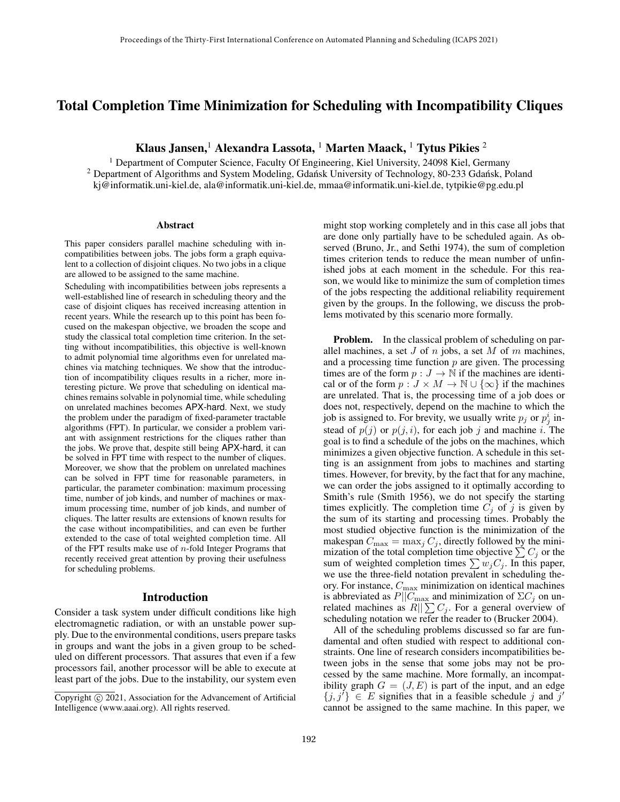# Total Completion Time Minimization for Scheduling with Incompatibility Cliques

Klaus Jansen,<sup>1</sup> Alexandra Lassota, <sup>1</sup> Marten Maack, <sup>1</sup> Tytus Pikies <sup>2</sup>

<sup>1</sup> Department of Computer Science, Faculty Of Engineering, Kiel University, 24098 Kiel, Germany <sup>2</sup> Department of Algorithms and System Modeling, Gdansk University of Technology, 80-233 Gdansk, Poland kj@informatik.uni-kiel.de, ala@informatik.uni-kiel.de, mmaa@informatik.uni-kiel.de, tytpikie@pg.edu.pl

#### Abstract

This paper considers parallel machine scheduling with incompatibilities between jobs. The jobs form a graph equivalent to a collection of disjoint cliques. No two jobs in a clique are allowed to be assigned to the same machine.

Scheduling with incompatibilities between jobs represents a well-established line of research in scheduling theory and the case of disjoint cliques has received increasing attention in recent years. While the research up to this point has been focused on the makespan objective, we broaden the scope and study the classical total completion time criterion. In the setting without incompatibilities, this objective is well-known to admit polynomial time algorithms even for unrelated machines via matching techniques. We show that the introduction of incompatibility cliques results in a richer, more interesting picture. We prove that scheduling on identical machines remains solvable in polynomial time, while scheduling on unrelated machines becomes APX-hard. Next, we study the problem under the paradigm of fixed-parameter tractable algorithms (FPT). In particular, we consider a problem variant with assignment restrictions for the cliques rather than the jobs. We prove that, despite still being APX-hard, it can be solved in FPT time with respect to the number of cliques. Moreover, we show that the problem on unrelated machines can be solved in FPT time for reasonable parameters, in particular, the parameter combination: maximum processing time, number of job kinds, and number of machines or maximum processing time, number of job kinds, and number of cliques. The latter results are extensions of known results for the case without incompatibilities, and can even be further extended to the case of total weighted completion time. All of the FPT results make use of  $n$ -fold Integer Programs that recently received great attention by proving their usefulness for scheduling problems.

#### Introduction

Consider a task system under difficult conditions like high electromagnetic radiation, or with an unstable power supply. Due to the environmental conditions, users prepare tasks in groups and want the jobs in a given group to be scheduled on different processors. That assures that even if a few processors fail, another processor will be able to execute at least part of the jobs. Due to the instability, our system even might stop working completely and in this case all jobs that are done only partially have to be scheduled again. As observed (Bruno, Jr., and Sethi 1974), the sum of completion times criterion tends to reduce the mean number of unfinished jobs at each moment in the schedule. For this reason, we would like to minimize the sum of completion times of the jobs respecting the additional reliability requirement given by the groups. In the following, we discuss the problems motivated by this scenario more formally.

Problem. In the classical problem of scheduling on parallel machines, a set  $J$  of  $n$  jobs, a set  $M$  of  $m$  machines, and a processing time function  $p$  are given. The processing times are of the form  $p: J \to \mathbb{N}$  if the machines are identical or of the form  $p : J \times M \to \mathbb{N} \cup \{\infty\}$  if the machines are unrelated. That is, the processing time of a job does or does not, respectively, depend on the machine to which the job is assigned to. For brevity, we usually write  $p_j$  or  $p_j^i$  instead of  $p(j)$  or  $p(j, i)$ , for each job j and machine i. The goal is to find a schedule of the jobs on the machines, which minimizes a given objective function. A schedule in this setting is an assignment from jobs to machines and starting times. However, for brevity, by the fact that for any machine, we can order the jobs assigned to it optimally according to Smith's rule (Smith 1956), we do not specify the starting times explicitly. The completion time  $C_j$  of j is given by the sum of its starting and processing times. Probably the most studied objective function is the minimization of the makespan  $C_{\text{max}} = \max_i C_i$ , directly followed by the minimization of the total completion time objective  $\sum C_i$  or the sum of weighted completion times  $\sum w_j C_j$ . In this paper, we use the three-field notation prevalent in scheduling theory. For instance,  $C_{\text{max}}$  minimization on identical machines is abbreviated as  $P||C_{\text{max}}$  and minimization of  $\Sigma C_j$  on unrelated machines as  $R||\sum C_i$ . For a general overview of scheduling notation we refer the reader to (Brucker 2004).

All of the scheduling problems discussed so far are fundamental and often studied with respect to additional constraints. One line of research considers incompatibilities between jobs in the sense that some jobs may not be processed by the same machine. More formally, an incompatibility graph  $G = (J, E)$  is part of the input, and an edge  $\{j, j'\} \in E$  signifies that in a feasible schedule j and j' cannot be assigned to the same machine. In this paper, we

Copyright © 2021, Association for the Advancement of Artificial Intelligence (www.aaai.org). All rights reserved.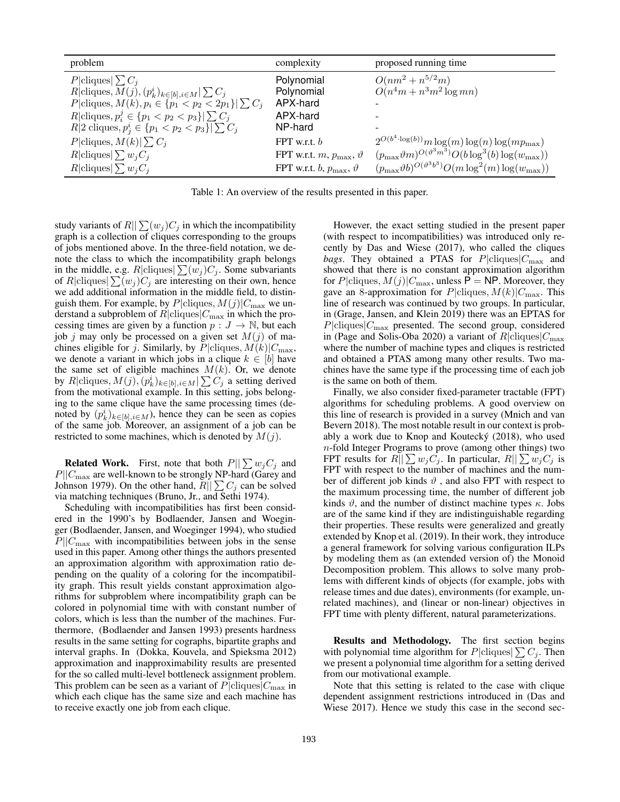| problem                                                            | complexity                                      | proposed running time                                                   |
|--------------------------------------------------------------------|-------------------------------------------------|-------------------------------------------------------------------------|
| P cliques  $\sum C_i$                                              | Polynomial                                      | $O(nm^2 + n^{5/2}m)$                                                    |
| $R$  cliques, $M(j)$ , $(p_k^i)_{k \in [b], i \in M}$   $\sum C_j$ | Polynomial                                      | $O(n^4m + n^3m^2 \log mn)$                                              |
| P cliques, $M(k), p_i \in \{p_1 < p_2 < 2p_1\} \mid \sum C_j$      | APX-hard                                        |                                                                         |
| $R \text{cliques}, p_i^j \in \{p_1 < p_2 < p_3\}  \sum C_i$        | APX-hard                                        |                                                                         |
| R 2 cliques, $p_j^i \in \{p_1 < p_2 < p_3\}$   $\sum C_j$          | NP-hard                                         |                                                                         |
| $P cliques, M(k)  \sum C_i$                                        | FPT w.r.t. $b$                                  | $2^{O(b^4 \cdot \log(b))} m \log(m) \log(n) \log(m p_{\max})$           |
| $R \text{cliques} \sum w_iC_i$                                     | FPT w.r.t. $m$ , $p_{\text{max}}$ , $\vartheta$ | $(p_{\max}\vartheta m)^{O(\vartheta^3 m^3)}O(b\log^3(b)\log(w_{\max}))$ |
| $R \text{cliques} \sum w_iC_i $                                    | FPT w.r.t. b, $p_{\text{max}}$ , $\vartheta$    | $(p_{\max}\vartheta b)^{O(\vartheta^3b^3)}O(m\log^2(m)\log(w_{\max}))$  |

Table 1: An overview of the results presented in this paper.

study variants of  $R||\sum_{j} (w_j)C_j$  in which the incompatibility graph is a collection of cliques corresponding to the groups of jobs mentioned above. In the three-field notation, we denote the class to which the incompatibility graph belongs in the middle, e.g.  $R|\text{cliques}|\sum(w_j)C_j$ . Some subvariants of R|cliques| $\sum(w_j)C_j$  are interesting on their own, hence we add additional information in the middle field, to distinguish them. For example, by  $P|cliques, M(j)|C_{\text{max}}$  we understand a subproblem of  $R|cliques|C<sub>max</sub>$  in which the processing times are given by a function  $p : J \to \mathbb{N}$ , but each job j may only be processed on a given set  $M(j)$  of machines eligible for j. Similarly, by  $P|cliques, M(k)|C_{\text{max}}$ , we denote a variant in which jobs in a clique  $k \in [b]$  have the same set of eligible machines  $M(k)$ . Or, we denote by  $R$  cliques,  $M(j)$ ,  $(p_k^i)_{k \in [b], i \in M}$   $\sum C_j$  a setting derived from the motivational example. In this setting, jobs belonging to the same clique have the same processing times (denoted by  $(p_k^i)_{k \in [b], i \in M}$ , hence they can be seen as copies of the same job. Moreover, an assignment of a job can be restricted to some machines, which is denoted by  $M(j)$ .

**Related Work.** First, note that both  $P||\sum w_jC_j$  and  $P||C_{\text{max}}$  are well-known to be strongly NP-hard (Garey and Johnson 1979). On the other hand,  $R||\sum C_j$  can be solved via matching techniques (Bruno, Jr., and Sethi 1974).

Scheduling with incompatibilities has first been considered in the 1990's by Bodlaender, Jansen and Woeginger (Bodlaender, Jansen, and Woeginger 1994), who studied  $P||C_{\text{max}}$  with incompatibilities between jobs in the sense used in this paper. Among other things the authors presented an approximation algorithm with approximation ratio depending on the quality of a coloring for the incompatibility graph. This result yields constant approximation algorithms for subproblem where incompatibility graph can be colored in polynomial time with with constant number of colors, which is less than the number of the machines. Furthermore, (Bodlaender and Jansen 1993) presents hardness results in the same setting for cographs, bipartite graphs and interval graphs. In (Dokka, Kouvela, and Spieksma 2012) approximation and inapproximability results are presented for the so called multi-level bottleneck assignment problem. This problem can be seen as a variant of  $P|cliques|C<sub>max</sub>$  in which each clique has the same size and each machine has to receive exactly one job from each clique.

However, the exact setting studied in the present paper (with respect to incompatibilities) was introduced only recently by Das and Wiese (2017), who called the cliques *bags*. They obtained a PTAS for  $P|cliques|C<sub>max</sub>$  and showed that there is no constant approximation algorithm for P|cliques,  $M(j)|C_{\text{max}}$ , unless P = NP. Moreover, they gave an 8-approximation for  $P|cliques, M(k)|C_{\text{max}}$ . This line of research was continued by two groups. In particular, in (Grage, Jansen, and Klein 2019) there was an EPTAS for  $P|\text{cliques}|C_{\text{max}}$  presented. The second group, considered in (Page and Solis-Oba 2020) a variant of  $R|cliques|C_{\text{max}}$ where the number of machine types and cliques is restricted and obtained a PTAS among many other results. Two machines have the same type if the processing time of each job is the same on both of them.

Finally, we also consider fixed-parameter tractable (FPT) algorithms for scheduling problems. A good overview on this line of research is provided in a survey (Mnich and van Bevern 2018). The most notable result in our context is probably a work due to Knop and Koutecký (2018), who used n-fold Integer Programs to prove (among other things) two FPT results for  $R||\sum w_iC_i$ . In particular,  $R||\sum w_iC_i$  is FPT with respect to the number of machines and the number of different job kinds  $\vartheta$ , and also FPT with respect to the maximum processing time, the number of different job kinds  $\vartheta$ , and the number of distinct machine types  $\kappa$ . Jobs are of the same kind if they are indistinguishable regarding their properties. These results were generalized and greatly extended by Knop et al. (2019). In their work, they introduce a general framework for solving various configuration ILPs by modeling them as (an extended version of) the Monoid Decomposition problem. This allows to solve many problems with different kinds of objects (for example, jobs with release times and due dates), environments (for example, unrelated machines), and (linear or non-linear) objectives in FPT time with plenty different, natural parameterizations.

Results and Methodology. The first section begins with polynomial time algorithm for  $P|\text{cliques}|\sum C_j$ . Then we present a polynomial time algorithm for a setting derived from our motivational example.

Note that this setting is related to the case with clique dependent assignment restrictions introduced in (Das and Wiese 2017). Hence we study this case in the second sec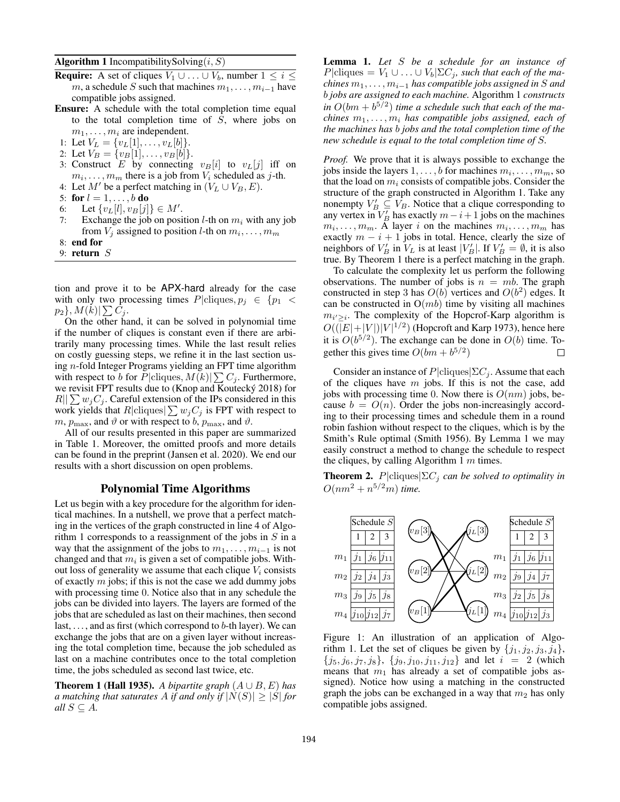**Algorithm 1** IncompatibilitySolving $(i, S)$ 

- **Require:** A set of cliques  $V_1 \cup \ldots \cup V_b$ , number  $1 \leq i \leq$ m, a schedule S such that machines  $m_1, \ldots, m_{i-1}$  have compatible jobs assigned.
- Ensure: A schedule with the total completion time equal to the total completion time of S, where jobs on  $m_1, \ldots, m_i$  are independent.
- 1: Let  $V_L = \{v_L[1], \ldots, v_L[b]\}.$
- 2: Let  $V_B = \{v_B[1], \ldots, v_B[b]\}.$
- 3: Construct E by connecting  $v_B[i]$  to  $v_L[j]$  iff on  $m_i, \ldots, m_m$  there is a job from  $V_i$  scheduled as j-th.
- 4: Let  $M'$  be a perfect matching in  $(V_L \cup V_B, E)$ .
- 5: for  $l = 1, ..., b$  do
- 6: Let  $\{v_L[l], v_B[j]\} \in M'.$
- 7: Exchange the job on position *l*-th on  $m_i$  with any job from  $V_j$  assigned to position *l*-th on  $m_i, \ldots, m_m$
- 8: end for
- 9: return S

tion and prove it to be APX-hard already for the case with only two processing times  $P|cliques, p_i \in \{p_1$  $p_2\}, M(k)|\sum C_j.$ 

On the other hand, it can be solved in polynomial time if the number of cliques is constant even if there are arbitrarily many processing times. While the last result relies on costly guessing steps, we refine it in the last section using n-fold Integer Programs yielding an FPT time algorithm with respect to b for  $P|\text{cliques}, M(k)|\sum C_j$ . Furthermore, we revisit FPT results due to (Knop and Koutecký 2018) for  $R||\sum w_jC_j$ . Careful extension of the IPs considered in this work yields that  $R|\text{cliques}|\sum w_jC_j$  is FPT with respect to  $m$ ,  $p_{\text{max}}$ , and  $\vartheta$  or with respect to b,  $p_{\text{max}}$ , and  $\vartheta$ .

All of our results presented in this paper are summarized in Table 1. Moreover, the omitted proofs and more details can be found in the preprint (Jansen et al. 2020). We end our results with a short discussion on open problems.

### Polynomial Time Algorithms

Let us begin with a key procedure for the algorithm for identical machines. In a nutshell, we prove that a perfect matching in the vertices of the graph constructed in line 4 of Algorithm 1 corresponds to a reassignment of the jobs in  $S$  in a way that the assignment of the jobs to  $m_1, \ldots, m_{i-1}$  is not changed and that  $m_i$  is given a set of compatible jobs. Without loss of generality we assume that each clique  $V_i$  consists of exactly  $m$  jobs; if this is not the case we add dummy jobs with processing time 0. Notice also that in any schedule the jobs can be divided into layers. The layers are formed of the jobs that are scheduled as last on their machines, then second last,  $\dots$ , and as first (which correspond to b-th layer). We can exchange the jobs that are on a given layer without increasing the total completion time, because the job scheduled as last on a machine contributes once to the total completion time, the jobs scheduled as second last twice, etc.

**Theorem 1 (Hall 1935).** *A bipartite graph*  $(A \cup B, E)$  *has a* matching that saturates A if and only if  $|N(S)| \geq |S|$  for *all*  $S \subseteq A$ *.* 

Lemma 1. *Let* S *be a schedule for an instance of*  $P|cliques = V_1 \cup ... \cup V_b | \Sigma C_i$ *, such that each of the machines*  $m_1, \ldots, m_{i-1}$  *has compatible jobs assigned in* S *and* b *jobs are assigned to each machine.* Algorithm 1 *constructs* in  $O(bm + b^{5/2})$  *time a schedule such that each of the ma-* $\emph{chines }$   $m_1, \ldots, m_i$  has compatible jobs assigned, each of *the machines has* b *jobs and the total completion time of the new schedule is equal to the total completion time of* S*.*

*Proof.* We prove that it is always possible to exchange the jobs inside the layers  $1, \ldots, b$  for machines  $m_i, \ldots, m_m$ , so that the load on  $m_i$  consists of compatible jobs. Consider the structure of the graph constructed in Algorithm 1. Take any nonempty  $V'_B \subseteq V_B$ . Notice that a clique corresponding to any vertex in  $V'_B$  has exactly  $m-i+1$  jobs on the machines  $m_i, \ldots, m_m$ . A layer i on the machines  $m_i, \ldots, m_m$  has exactly  $m - i + 1$  jobs in total. Hence, clearly the size of neighbors of  $V'_B$  in  $V_L$  is at least  $|V'_B|$ . If  $V'_B = \emptyset$ , it is also true. By Theorem 1 there is a perfect matching in the graph.

To calculate the complexity let us perform the following observations. The number of jobs is  $n = mb$ . The graph constructed in step 3 has  $O(b)$  vertices and  $O(b^2)$  edges. It can be constructed in  $O(mb)$  time by visiting all machines  $m_{i' \geq i}$ . The complexity of the Hopcrof-Karp algorithm is  $O((|E|+|V|)|V|^{1/2})$  (Hopcroft and Karp 1973), hence here it is  $O(b^{5/2})$ . The exchange can be done in  $O(b)$  time. Together this gives time  $O(bm + b^{5/2})$ П

Consider an instance of  $P|cliques|\Sigma C_j$ . Assume that each of the cliques have  $m$  jobs. If this is not the case, add jobs with processing time 0. Now there is  $O(nm)$  jobs, because  $b = O(n)$ . Order the jobs non-increasingly according to their processing times and schedule them in a round robin fashion without respect to the cliques, which is by the Smith's Rule optimal (Smith 1956). By Lemma 1 we may easily construct a method to change the schedule to respect the cliques, by calling Algorithm 1  $m$  times.

**Theorem 2.**  $P|cliques|\Sigma C_j$  *can be solved to optimality in*  $O(nm^2 + n^{5/2}m)$  *time.* 



Figure 1: An illustration of an application of Algorithm 1. Let the set of cliques be given by  $\{j_1, j_2, j_3, j_4\}$ ,  $\{j_5, j_6, j_7, j_8\}, \{j_9, j_{10}, j_{11}, j_{12}\}$  and let  $i = 2$  (which means that  $m_1$  has already a set of compatible jobs assigned). Notice how using a matching in the constructed graph the jobs can be exchanged in a way that  $m_2$  has only compatible jobs assigned.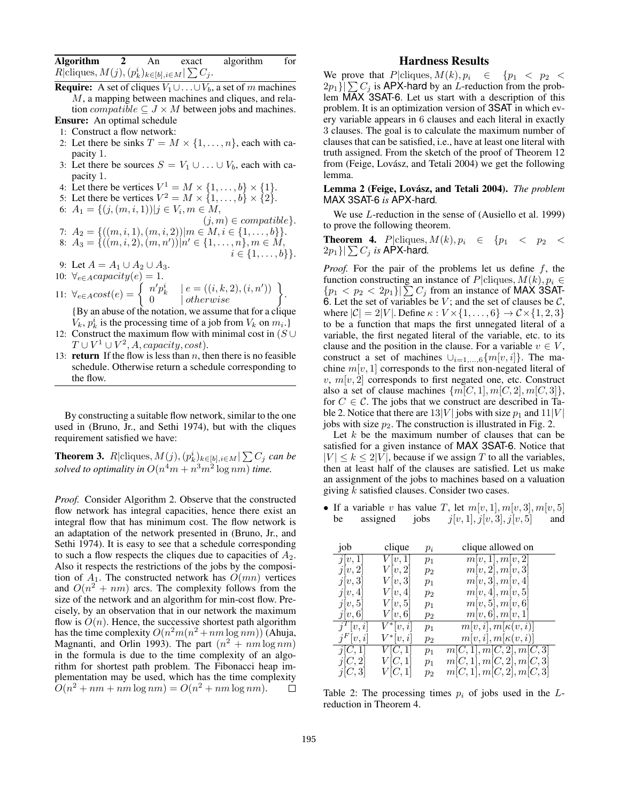| <b>Algorithm</b>                                                   | An | exact | algorithm | for |
|--------------------------------------------------------------------|----|-------|-----------|-----|
| $R \text{cliques}, M(j), (p_k^i)_{k \in [b], i \in M}   \sum C_j.$ |    |       |           |     |

- **Require:** A set of cliques  $V_1 \cup \ldots \cup V_b$ , a set of m machines  $M$ , a mapping between machines and cliques, and relation *compatible*  $\subseteq$  *J*  $\times$  *M* between jobs and machines. Ensure: An optimal schedule
- 1: Construct a flow network:
- 2: Let there be sinks  $T = M \times \{1, \ldots, n\}$ , each with capacity 1.
- 3: Let there be sources  $S = V_1 \cup ... \cup V_b$ , each with capacity 1.
- 4: Let there be vertices  $V^1 = M \times \{1, \ldots, b\} \times \{1\}.$
- 5: Let there be vertices  $V^2 = M \times \{1, \ldots, b\} \times \{2\}.$
- 6:  $A_1 = \{ (j, (m, i, 1)) | j \in V_i, m \in M,$

$$
(j, m) \in compatible \}.
$$
  
7:  $A_2 = \{((m, i, 1), (m, i, 2)) | m \in M, i \in \{1, ..., b\} \}.$ 

- 8:  $A_3 = \{((m, i, 2), (m, n'))|n' \in \{1, \ldots, n\}, m \in M,$  $i \in \{1, \ldots, b\}\}.$
- 9: Let  $A = A_1 \cup A_2 \cup A_3$ .

10:  $\forall_{e \in A} capacity(e) = 1.$ 

11: 
$$
\forall_{e \in A} cost(e) = \begin{cases} n'p_k^i & |e = ((i, k, 2), (i, n')) \\ 0 & |otherwise \end{cases}.
$$

{By an abuse of the notation, we assume that for a clique  $V_k$ ,  $p_k^i$  is the processing time of a job from  $V_k$  on  $m_i$ .

- 12: Construct the maximum flow with minimal cost in  $(S \cup$  $T \cup V^1 \cup V^2$ , A, capacity, cost).
- 13: **return** If the flow is less than  $n$ , then there is no feasible schedule. Otherwise return a schedule corresponding to the flow.

By constructing a suitable flow network, similar to the one used in (Bruno, Jr., and Sethi 1974), but with the cliques requirement satisfied we have:

**Theorem 3.**  $R$ |cliques,  $M(j)$ ,  $(p_k^i)_{k \in [b], i \in M}$ |  $\sum C_j$  *can be* solved to optimality in  $O(n^4m + n^3m^2 \log nm)$  time.

*Proof.* Consider Algorithm 2. Observe that the constructed flow network has integral capacities, hence there exist an integral flow that has minimum cost. The flow network is an adaptation of the network presented in (Bruno, Jr., and Sethi 1974). It is easy to see that a schedule corresponding to such a flow respects the cliques due to capacities of  $A_2$ . Also it respects the restrictions of the jobs by the composition of  $A_1$ . The constructed network has  $O(mn)$  vertices and  $O(n^2 + nm)$  arcs. The complexity follows from the size of the network and an algorithm for min-cost flow. Precisely, by an observation that in our network the maximum flow is  $O(n)$ . Hence, the successive shortest path algorithm has the time complexity  $O(n^2m(n^2 + nm\log nm))$  (Ahuja, Magnanti, and Orlin 1993). The part  $(n^2 + nm \log nm)$ in the formula is due to the time complexity of an algorithm for shortest path problem. The Fibonacci heap implementation may be used, which has the time complexity  $O(n^2 + nm + nm \log nm) = O(n^2 + nm \log nm).$  $\Box$ 

### Hardness Results

We prove that  $P|cliques, M(k), p_i \in \{p_1 < p_2 <$  $2p_1$ } $\sum C_i$  is APX-hard by an *L*-reduction from the problem MAX 3SAT-6. Let us start with a description of this problem. It is an optimization version of 3SAT in which every variable appears in 6 clauses and each literal in exactly 3 clauses. The goal is to calculate the maximum number of clauses that can be satisfied, i.e., have at least one literal with truth assigned. From the sketch of the proof of Theorem 12 from (Feige, Lovász, and Tetali 2004) we get the following lemma.

### Lemma 2 (Feige, Lovász, and Tetali 2004). *The problem* MAX 3SAT-6 *is* APX-hard*.*

We use L-reduction in the sense of (Ausiello et al. 1999) to prove the following theorem.

**Theorem 4.** P|cliques,  $M(k)$ ,  $p_i \in \{p_1 \lt p_2 \lt p_3\}$  $2p_1\{\sum C_i$  *is* APX-hard.

*Proof.* For the pair of the problems let us define f, the function constructing an instance of P|cliques,  $M(k)$ ,  $p_i \in$  ${p_1 < p_2 < 2p_1}$   $\sum C_j$  from an instance of MAX 3SAT-6. Let the set of variables be  $V$ ; and the set of clauses be  $C$ , where  $|\mathcal{C}| = 2|V|$ . Define  $\kappa : V \times \{1, \ldots, 6\} \rightarrow \mathcal{C} \times \{1, 2, 3\}$ to be a function that maps the first unnegated literal of a variable, the first negated literal of the variable, etc. to its clause and the position in the clause. For a variable  $v \in V$ , construct a set of machines  $\cup_{i=1,\dots,6}$  { $m[v, i]$ }. The machine  $m[v, 1]$  corresponds to the first non-negated literal of  $v, m[v, 2]$  corresponds to first negated one, etc. Construct also a set of clause machines  $\{m[C, 1], m[C, 2], m[C, 3]\},\$ for  $C \in \mathcal{C}$ . The jobs that we construct are described in Table 2. Notice that there are  $13|V|$  jobs with size  $p_1$  and  $11|V|$ jobs with size  $p_2$ . The construction is illustrated in Fig. 2.

Let  $k$  be the maximum number of clauses that can be satisfied for a given instance of MAX 3SAT-6. Notice that  $|V| \le k \le 2|V|$ , because if we assign T to all the variables, then at least half of the clauses are satisfied. Let us make an assignment of the jobs to machines based on a valuation giving  $k$  satisfied clauses. Consider two cases.

• If a variable v has value T, let  $m[v, 1], m[v, 3], m[v, 5]$ <br>be assigned jobs  $i[v, 1], i[v, 3], i[v, 5]$  and be assigned jobs  $j[v, 1], j[v, 3], j[v, 5]$  and

| job         | clique              | $p_i$ | clique allowed on          |
|-------------|---------------------|-------|----------------------------|
| j[v,1]      | V[v,1]              | $p_1$ | m[v,1], m[v,2]             |
| j[v,2]      | V[v,2]              | $p_2$ | m[v, 2], m[v, 3]           |
| j[v,3]      | V v,3               | $p_1$ | m[v, 3], m[v, 4]           |
| j[v,4]      | V[v,4]              | $p_2$ | m[v, 4], m[v, 5]           |
| j[v,5]      | V[v,5]              | $p_1$ | m[v, 5], m[v, 6]           |
| j[v,6]      | V[v,6]              | $p_2$ | m[v, 6], m[v, 1]           |
| $j^T[v,i]$  | $V^*[v,i]$          | $p_1$ | $m[v, i], m[\kappa(v, i)]$ |
| $j^F[v, i]$ | $V^*[v,i]$          | $p_2$ | $m[v, i], m[\kappa(v, i)]$ |
| j[C,1]      | $\overline{V[C,1]}$ | $p_1$ | m[C,1], m[C,2], m[C,3]     |
| j[C,2]      | V[C,1]              | $p_1$ | m[C,1], m[C,2], m[C,3]     |
| j[C,3]      | V[C,1]              | $p_2$ | m[C,1], m[C,2], m[C,3]     |

Table 2: The processing times  $p_i$  of jobs used in the Lreduction in Theorem 4.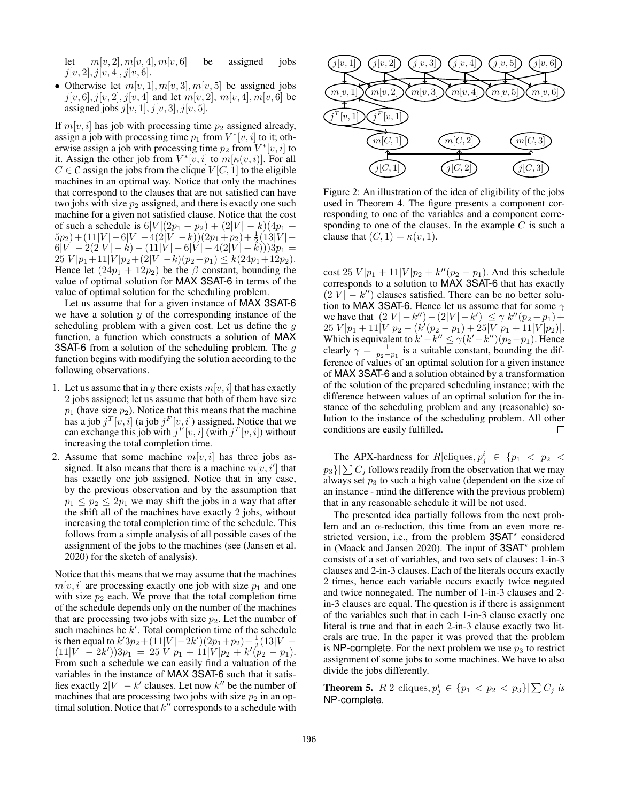let  $m[v, 2], m[v, 4], m[v, 6]$  be assigned jobs  $j[v, 2], j[v, 4], j[v, 6].$ 

• Otherwise let  $m[v, 1], m[v, 3], m[v, 5]$  be assigned jobs  $j[v, 6], j[v, 2], j[v, 4]$  and let  $m[v, 2], m[v, 4], m[v, 6]$  be assigned jobs  $j[v, 1], j[v, 3], j[v, 5].$ 

If  $m[v, i]$  has job with processing time  $p_2$  assigned already, assign a job with processing time  $p_1$  from  $V^*[v, i]$  to it; otherwise assign a job with processing time  $p_2$  from  $V^*[v, i]$  to it. Assign the other job from  $V^*[v, i]$  to  $m[\kappa(v, i)]$ . For all  $C \in \mathcal{C}$  assign the jobs from the clique  $V[C, 1]$  to the eligible machines in an optimal way. Notice that only the machines that correspond to the clauses that are not satisfied can have two jobs with size  $p_2$  assigned, and there is exactly one such machine for a given not satisfied clause. Notice that the cost of such a schedule is  $6|V|(2p_1 + p_2) + (2|V| - k)(4p_1 +$  $(5p_2) + (11|V| - 6|V| - 4(2|V| - k))(2p_1 + p_2) + \frac{1}{2}(13|V| 6|V| - 2(2|V| - k) - (11|V| - 6|V| - 4(2|V| - k)))3p_1 =$  $25|V|p_1+11|V|p_2+(2|V|-k)(p_2-p_1) \leq k(24p_1+12p_2).$ Hence let  $(24p_1 + 12p_2)$  be the  $\beta$  constant, bounding the value of optimal solution for MAX 3SAT-6 in terms of the value of optimal solution for the scheduling problem.

Let us assume that for a given instance of MAX 3SAT-6 we have a solution  $y$  of the corresponding instance of the scheduling problem with a given cost. Let us define the  $q$ function, a function which constructs a solution of MAX **3SAT-6** from a solution of the scheduling problem. The  $q$ function begins with modifying the solution according to the following observations.

- 1. Let us assume that in y there exists  $m[v, i]$  that has exactly 2 jobs assigned; let us assume that both of them have size  $p_1$  (have size  $p_2$ ). Notice that this means that the machine has a job  $j^T[v, i]$  (a job  $j^F[v, i]$ ) assigned. Notice that we can exchange this job with  $j^F[v, i]$  (with  $j^T[v, i]$ ) without increasing the total completion time.
- 2. Assume that some machine  $m[v, i]$  has three jobs assigned. It also means that there is a machine  $m[v, i']$  that has exactly one job assigned. Notice that in any case, by the previous observation and by the assumption that  $p_1 \leq p_2 \leq 2p_1$  we may shift the jobs in a way that after the shift all of the machines have exactly 2 jobs, without increasing the total completion time of the schedule. This follows from a simple analysis of all possible cases of the assignment of the jobs to the machines (see (Jansen et al. 2020) for the sketch of analysis).

Notice that this means that we may assume that the machines  $m[v, i]$  are processing exactly one job with size  $p_1$  and one with size  $p_2$  each. We prove that the total completion time of the schedule depends only on the number of the machines that are processing two jobs with size  $p_2$ . Let the number of such machines be  $k'$ . Total completion time of the schedule is then equal to  $k'3p_2 + (11|V| - 2k')(2p_1 + p_2) + \frac{1}{2}(13|V| (11|V|-2k'))3p_1 = 25|V|p_1 + 11|V|p_2 + k'(p_2 - p_1).$ From such a schedule we can easily find a valuation of the variables in the instance of MAX 3SAT-6 such that it satisfies exactly  $2|V| - k'$  clauses. Let now  $k''$  be the number of machines that are processing two jobs with size  $p_2$  in an optimal solution. Notice that  $k^{\prime\prime}$  corresponds to a schedule with



Figure 2: An illustration of the idea of eligibility of the jobs used in Theorem 4. The figure presents a component corresponding to one of the variables and a component corresponding to one of the clauses. In the example  $C$  is such a clause that  $(C, 1) = \kappa(v, 1)$ .

cost  $25|V|p_1 + 11|V|p_2 + k''(p_2 - p_1)$ . And this schedule corresponds to a solution to MAX 3SAT-6 that has exactly  $(2|V| - k'')$  clauses satisfied. There can be no better solution to MAX 3SAT-6. Hence let us assume that for some  $\gamma$ we have that  $|(2|V| - k'') - (2|V| - k')| \le \gamma |k''(p_2 - p_1) +$  $25|V|p_1+11|V|p_2-(k'(p_2-p_1)+25|V|p_1+11|V|p_2)|.$ Which is equivalent to  $k'-k'' \leq \gamma(k'-k'')(p_2-p_1)$ . Hence clearly  $\gamma = \frac{1}{p_2 - p_1}$  is a suitable constant, bounding the difference of values of an optimal solution for a given instance of MAX 3SAT-6 and a solution obtained by a transformation of the solution of the prepared scheduling instance; with the difference between values of an optimal solution for the instance of the scheduling problem and any (reasonable) solution to the instance of the scheduling problem. All other conditions are easily fulfilled.  $\Box$ 

The APX-hardness for  $R$  cliques,  $p_j^i \in \{p_1 \, < \, p_2 \, < \, p_3 \}$  $p_3\vert\vert\sum C_i$  follows readily from the observation that we may always set  $p_3$  to such a high value (dependent on the size of an instance - mind the difference with the previous problem) that in any reasonable schedule it will be not used.

The presented idea partially follows from the next problem and an  $\alpha$ -reduction, this time from an even more restricted version, i.e., from the problem 3SAT\* considered in (Maack and Jansen 2020). The input of 3SAT\* problem consists of a set of variables, and two sets of clauses: 1-in-3 clauses and 2-in-3 clauses. Each of the literals occurs exactly 2 times, hence each variable occurs exactly twice negated and twice nonnegated. The number of 1-in-3 clauses and 2 in-3 clauses are equal. The question is if there is assignment of the variables such that in each 1-in-3 clause exactly one literal is true and that in each 2-in-3 clause exactly two literals are true. In the paper it was proved that the problem is NP-complete. For the next problem we use  $p_3$  to restrict assignment of some jobs to some machines. We have to also divide the jobs differently.

**Theorem 5.**  $R|2$  cliques,  $p_j^i \in \{p_1 < p_2 < p_3\}|\sum C_j$  *is* NP-complete*.*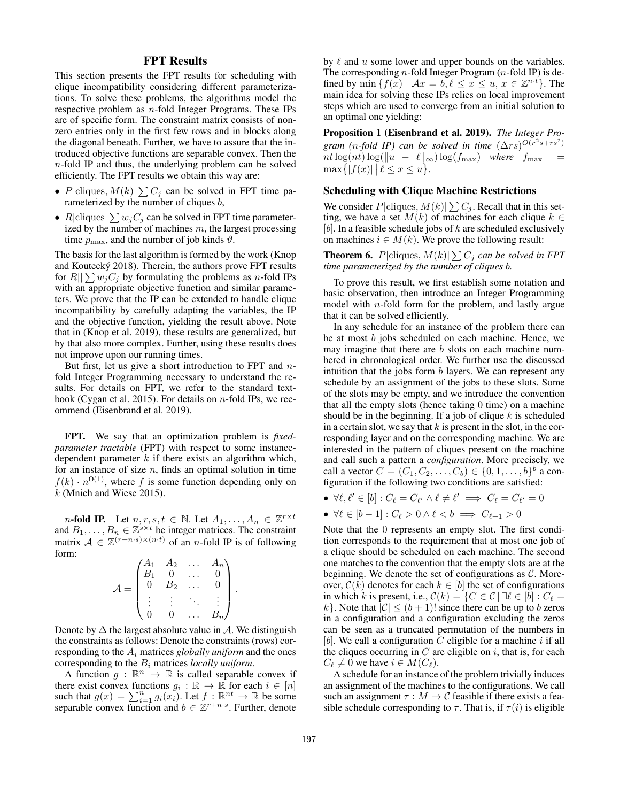# FPT Results

This section presents the FPT results for scheduling with clique incompatibility considering different parameterizations. To solve these problems, the algorithms model the respective problem as n-fold Integer Programs. These IPs are of specific form. The constraint matrix consists of nonzero entries only in the first few rows and in blocks along the diagonal beneath. Further, we have to assure that the introduced objective functions are separable convex. Then the n-fold IP and thus, the underlying problem can be solved efficiently. The FPT results we obtain this way are:

- P|cliques,  $M(k)|\sum C_j$  can be solved in FPT time parameterized by the number of cliques  $b$ ,
- R|cliques|  $\sum w_j C_j$  can be solved in FPT time parameterized by the number of machines  $m$ , the largest processing time  $p_{\text{max}}$ , and the number of job kinds  $\vartheta$ .

The basis for the last algorithm is formed by the work (Knop and Koutecký 2018). Therein, the authors prove FPT results for  $R||\sum w_iC_i$  by formulating the problems as *n*-fold IPs with an appropriate objective function and similar parameters. We prove that the IP can be extended to handle clique incompatibility by carefully adapting the variables, the IP and the objective function, yielding the result above. Note that in (Knop et al. 2019), these results are generalized, but by that also more complex. Further, using these results does not improve upon our running times.

But first, let us give a short introduction to FPT and  $n$ fold Integer Programming necessary to understand the results. For details on FPT, we refer to the standard textbook (Cygan et al. 2015). For details on  $n$ -fold IPs, we recommend (Eisenbrand et al. 2019).

FPT. We say that an optimization problem is *fixedparameter tractable* (FPT) with respect to some instancedependent parameter  $k$  if there exists an algorithm which, for an instance of size  $n$ , finds an optimal solution in time  $f(k) \cdot n^{O(1)}$ , where f is some function depending only on  $k$  (Mnich and Wiese 2015).

*n*-fold IP. Let  $n, r, s, t \in \mathbb{N}$ . Let  $A_1, \ldots, A_n \in \mathbb{Z}^{r \times t}$ and  $B_1, \ldots, B_n \in \mathbb{Z}^{s \times t}$  be integer matrices. The constraint matrix  $A \in \mathbb{Z}^{(r+n\cdot s)\times(n\cdot t)}$  of an *n*-fold IP is of following form:

$$
\mathcal{A} = \begin{pmatrix} A_1 & A_2 & \dots & A_n \\ B_1 & 0 & \dots & 0 \\ 0 & B_2 & \dots & 0 \\ \vdots & \vdots & \ddots & \vdots \\ 0 & 0 & \dots & B_n \end{pmatrix}
$$

.

Denote by  $\Delta$  the largest absolute value in A. We distinguish the constraints as follows: Denote the constraints (rows) corresponding to the A<sup>i</sup> matrices *globally uniform* and the ones corresponding to the B<sup>i</sup> matrices *locally uniform*.

A function  $g : \mathbb{R}^n \to \mathbb{R}$  is called separable convex if there exist convex functions  $g_i : \mathbb{R} \to \mathbb{R}$  for each  $i \in [n]$ such that  $g(x) = \sum_{i=1}^{n} g_i(x_i)$ . Let  $f : \mathbb{R}^{nt} \to \mathbb{R}$  be some separable convex function and  $b \in \mathbb{Z}^{r+n \cdot s}$ . Further, denote by  $\ell$  and  $u$  some lower and upper bounds on the variables. The corresponding  $n$ -fold Integer Program  $(n$ -fold IP) is defined by  $\min \{ f(x) | \mathcal{A}x = b, \ell \leq x \leq u, x \in \mathbb{Z}^{n \cdot \ell} \}.$  The main idea for solving these IPs relies on local improvement steps which are used to converge from an initial solution to an optimal one yielding:

Proposition 1 (Eisenbrand et al. 2019). *The Integer Pro*gram (n-fold IP) can be solved in time  $(\Delta rs)^{O(r^2s + rs^2)}$  $nt \log(nt) \log(\|u - \ell\|_{\infty}) \log(f_{\max})$  *where*  $f_{\max}$  =  $\max\{|f(x)| \, | \, \ell \leq x \leq u\}.$ 

### Scheduling with Clique Machine Restrictions

We consider  $P|\text{cliques}, M(k)|\sum C_j$ . Recall that in this setting, we have a set  $M(k)$  of machines for each clique  $k \in$  $[b]$ . In a feasible schedule jobs of  $k$  are scheduled exclusively on machines  $i \in M(k)$ . We prove the following result:

**Theorem 6.**  $P|\text{cliques}, M(k)| \sum C_j$  can be solved in FPT *time parameterized by the number of cliques* b*.*

To prove this result, we first establish some notation and basic observation, then introduce an Integer Programming model with *n*-fold form for the problem, and lastly argue that it can be solved efficiently.

In any schedule for an instance of the problem there can be at most b jobs scheduled on each machine. Hence, we may imagine that there are *b* slots on each machine numbered in chronological order. We further use the discussed intuition that the jobs form  $b$  layers. We can represent any schedule by an assignment of the jobs to these slots. Some of the slots may be empty, and we introduce the convention that all the empty slots (hence taking 0 time) on a machine should be in the beginning. If a job of clique  $k$  is scheduled in a certain slot, we say that  $k$  is present in the slot, in the corresponding layer and on the corresponding machine. We are interested in the pattern of cliques present on the machine and call such a pattern a *configuration*. More precisely, we call a vector  $C = (C_1, C_2, ..., C_b) \in \{0, 1, ..., b\}^b$  a configuration if the following two conditions are satisfied:

•  $\forall \ell, \ell' \in [b]: C_{\ell} = C_{\ell'} \land \ell \neq \ell' \implies C_{\ell} = C_{\ell'} = 0$ 

• 
$$
\forall \ell \in [b-1]: C_{\ell} > 0 \land \ell < b \implies C_{\ell+1} > 0
$$

Note that the 0 represents an empty slot. The first condition corresponds to the requirement that at most one job of a clique should be scheduled on each machine. The second one matches to the convention that the empty slots are at the beginning. We denote the set of configurations as  $C$ . Moreover,  $C(k)$  denotes for each  $k \in [b]$  the set of configurations in which k is present, i.e.,  $C(k) = \{C \in \mathcal{C} \mid \exists \ell \in [b] : C_{\ell} =$ k}. Note that  $|C| \le (b+1)!$  since there can be up to b zeros in a configuration and a configuration excluding the zeros can be seen as a truncated permutation of the numbers in [b]. We call a configuration  $C$  eligible for a machine i if all the cliques occurring in  $C$  are eligible on  $i$ , that is, for each  $C_{\ell} \neq 0$  we have  $i \in M(C_{\ell}).$ 

A schedule for an instance of the problem trivially induces an assignment of the machines to the configurations. We call such an assignment  $\tau : M \to \mathcal{C}$  feasible if there exists a feasible schedule corresponding to  $\tau$ . That is, if  $\tau(i)$  is eligible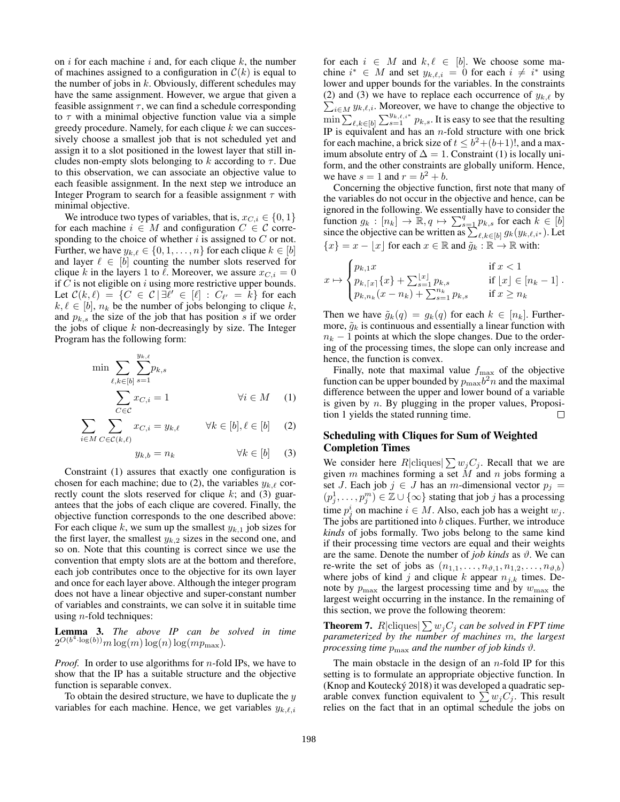on  $i$  for each machine  $i$  and, for each clique  $k$ , the number of machines assigned to a configuration in  $\mathcal{C}(k)$  is equal to the number of jobs in  $k$ . Obviously, different schedules may have the same assignment. However, we argue that given a feasible assignment  $\tau$ , we can find a schedule corresponding to  $\tau$  with a minimal objective function value via a simple greedy procedure. Namely, for each clique  $k$  we can successively choose a smallest job that is not scheduled yet and assign it to a slot positioned in the lowest layer that still includes non-empty slots belonging to k according to  $\tau$ . Due to this observation, we can associate an objective value to each feasible assignment. In the next step we introduce an Integer Program to search for a feasible assignment  $\tau$  with minimal objective.

We introduce two types of variables, that is,  $x_{C,i} \in \{0, 1\}$ for each machine  $i \in M$  and configuration  $C \in \mathcal{C}$  corresponding to the choice of whether  $i$  is assigned to  $C$  or not. Further, we have  $y_{k,\ell} \in \{0, 1, \ldots, n\}$  for each clique  $k \in [b]$ and layer  $\ell \in [b]$  counting the number slots reserved for clique k in the layers 1 to  $\ell$ . Moreover, we assure  $x_{C,i} = 0$ if  $C$  is not eligible on  $i$  using more restrictive upper bounds. Let  $\mathcal{C}(k,\ell) = \{ C \in \mathcal{C} \mid \exists \ell' \in [\ell] : C_{\ell'} = k \}$  for each  $k, \ell \in [b], n_k$  be the number of jobs belonging to clique k, and  $p_{k,s}$  the size of the job that has position s if we order the jobs of clique  $k$  non-decreasingly by size. The Integer Program has the following form:

$$
\min \sum_{\ell,k \in [b]} \sum_{s=1}^{y_{k,\ell}} p_{k,s}
$$
\n
$$
\sum_{C \in \mathcal{C}} x_{C,i} = 1 \qquad \forall i \in M \quad (1)
$$

$$
\sum_{i \in M} \sum_{C \in \mathcal{C}(k,\ell)} x_{C,i} = y_{k,\ell} \qquad \forall k \in [b], \ell \in [b] \tag{2}
$$

$$
y_{k,b} = n_k \qquad \qquad \forall k \in [b] \qquad (3)
$$

Constraint (1) assures that exactly one configuration is chosen for each machine; due to (2), the variables  $y_{k,\ell}$  correctly count the slots reserved for clique  $k$ ; and (3) guarantees that the jobs of each clique are covered. Finally, the objective function corresponds to the one described above: For each clique k, we sum up the smallest  $y_{k,1}$  job sizes for the first layer, the smallest  $y_{k,2}$  sizes in the second one, and so on. Note that this counting is correct since we use the convention that empty slots are at the bottom and therefore, each job contributes once to the objective for its own layer and once for each layer above. Although the integer program does not have a linear objective and super-constant number of variables and constraints, we can solve it in suitable time using  $n$ -fold techniques:

Lemma 3. *The above IP can be solved in time*  $2^{O(b^4\cdot \log(b))}m\log(m)\log(n)\log(mp_{\max}).$ 

*Proof.* In order to use algorithms for *n*-fold IPs, we have to show that the IP has a suitable structure and the objective function is separable convex.

To obtain the desired structure, we have to duplicate the  $y$ variables for each machine. Hence, we get variables  $y_{k,\ell,i}$ 

for each  $i \in M$  and  $k, \ell \in [b]$ . We choose some machine  $i^* \in M$  and set  $y_{k,\ell,i} = 0$  for each  $i \neq i^*$  using lower and upper bounds for the variables. In the constraints (2) and (3) we have to replace each occurrence of  $y_{k,\ell}$  by  $\sum_{i \in M} y_{k,\ell,i}$ . Moreover, we have to change the objective to  $\min \sum_{\ell,k \in [b]} \sum_{s=1}^{y_{k,\ell,i^*}} p_{k,s}$ . It is easy to see that the resulting IP is equivalent and has an  $n$ -fold structure with one brick for each machine, a brick size of  $t \leq b^2 + (b+1)!$ , and a maximum absolute entry of  $\Delta = 1$ . Constraint (1) is locally uniform, and the other constraints are globally uniform. Hence, we have  $s = 1$  and  $r = b^2 + b$ .

Concerning the objective function, first note that many of the variables do not occur in the objective and hence, can be ignored in the following. We essentially have to consider the function  $g_k : [n_k] \to \mathbb{R}, q \mapsto \sum_{s=1}^q p_{k,s}$  for each  $k \in [b]$ since the objective can be written as  $\sum_{\ell,k \in [b]} g_k(y_{k,\ell,i^*})$ . Let  ${x} = x - |x|$  for each  $x \in \mathbb{R}$  and  $\tilde{g}_k : \mathbb{R} \to \mathbb{R}$  with:

$$
x \mapsto \begin{cases} p_{k,1}x & \text{if } x < 1\\ p_{k,\lceil x \rceil} \{x\} + \sum_{s=1}^{\lfloor x \rfloor} p_{k,s} & \text{if } \lfloor x \rfloor \in [n_k - 1] \\ p_{k,n_k}(x - n_k) + \sum_{s=1}^{n_k} p_{k,s} & \text{if } x \ge n_k \end{cases}
$$

Then we have  $\tilde{g}_k(q) = g_k(q)$  for each  $k \in [n_k]$ . Furthermore,  $\tilde{g}_k$  is continuous and essentially a linear function with  $n_k - 1$  points at which the slope changes. Due to the ordering of the processing times, the slope can only increase and hence, the function is convex.

Finally, note that maximal value  $f_{\text{max}}$  of the objective function can be upper bounded by  $p_{\text{max}}b^2n$  and the maximal difference between the upper and lower bound of a variable is given by  $n$ . By plugging in the proper values, Proposition 1 yields the stated running time.  $\Box$ 

### Scheduling with Cliques for Sum of Weighted Completion Times

We consider here  $R|\text{cliques}|\sum w_jC_j$ . Recall that we are given m machines forming a set  $\overline{M}$  and n jobs forming a set J. Each job  $j \in J$  has an m-dimensional vector  $p_j =$  $(p_j^1, \ldots, p_j^m) \in \mathbb{Z} \cup \{\infty\}$  stating that job j has a processing time  $p_j^i$  on machine  $i \in M$ . Also, each job has a weight  $w_j$ . The jobs are partitioned into b cliques. Further, we introduce *kinds* of jobs formally. Two jobs belong to the same kind if their processing time vectors are equal and their weights are the same. Denote the number of *job kinds* as  $\vartheta$ . We can re-write the set of jobs as  $(n_{1,1}, \ldots, n_{\vartheta,1}, n_{1,2}, \ldots, n_{\vartheta,b})$ where jobs of kind j and clique k appear  $n_{j,k}$  times. Denote by  $p_{\text{max}}$  the largest processing time and by  $w_{\text{max}}$  the largest weight occurring in the instance. In the remaining of this section, we prove the following theorem:

**Theorem 7.**  $R|\text{cliques}|\sum w_jC_j$  can be solved in FPT time *parameterized by the number of machines* m*, the largest processing time*  $p_{\text{max}}$  *and the number of job kinds*  $\vartheta$ *.* 

The main obstacle in the design of an  $n$ -fold IP for this setting is to formulate an appropriate objective function. In (Knop and Koutecký 2018) it was developed a quadratic separable convex function equivalent to  $\sum w_i C_i$ . This result relies on the fact that in an optimal schedule the jobs on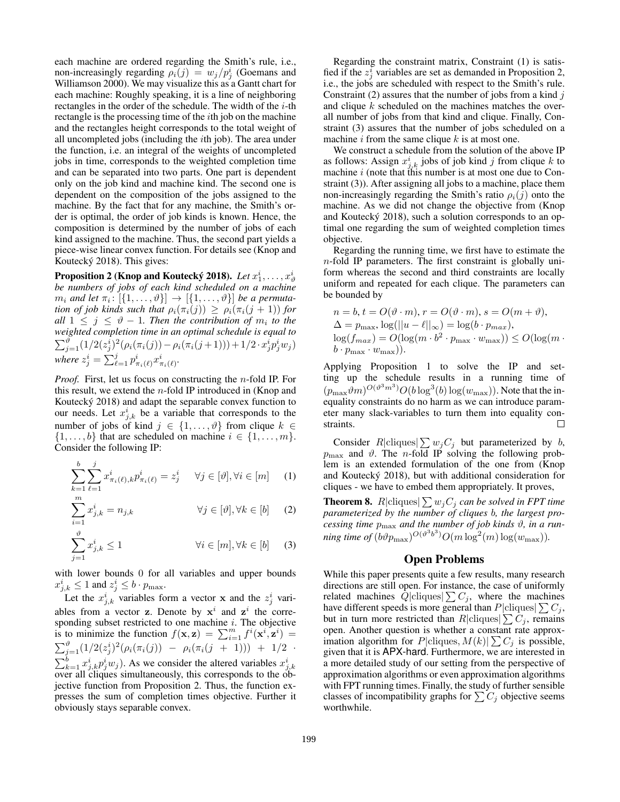each machine are ordered regarding the Smith's rule, i.e., non-increasingly regarding  $\rho_i(j) = w_j/p_j^i$  (Goemans and Williamson 2000). We may visualize this as a Gantt chart for each machine: Roughly speaking, it is a line of neighboring rectangles in the order of the schedule. The width of the  $i$ -th rectangle is the processing time of the ith job on the machine and the rectangles height corresponds to the total weight of all uncompleted jobs (including the ith job). The area under the function, i.e. an integral of the weights of uncompleted jobs in time, corresponds to the weighted completion time and can be separated into two parts. One part is dependent only on the job kind and machine kind. The second one is dependent on the composition of the jobs assigned to the machine. By the fact that for any machine, the Smith's order is optimal, the order of job kinds is known. Hence, the composition is determined by the number of jobs of each kind assigned to the machine. Thus, the second part yields a piece-wise linear convex function. For details see (Knop and Koutecký 2018). This gives:

Proposition 2 (Knop and Koutecký 2018).  $\emph{Let} \emph{x}_1^i, \ldots, \emph{x}_\vartheta^i$ *be numbers of jobs of each kind scheduled on a machine*  $m_i$  and let  $\pi_i \colon [\{1, \ldots, \vartheta\}] \to [\{1, \ldots, \vartheta\}]$  be a permuta*tion of job kinds such that*  $\rho_i(\pi_i(j)) \geq \rho_i(\pi_i(j+1))$  *for all*  $1 \leq j \leq \vartheta - 1$ . Then the contribution of  $m_i$  to the *weighted completion time in an optimal schedule is equal to*  $\sum_{j=1}^{p} (1/2(z_j^i)^2(\rho_i(\pi_i(j)) - \rho_i(\pi_i(j+1))) + 1/2 \cdot x_j^i p_j^i w_j)$ where  $z_j^i = \sum_{\ell=1}^j p_{\pi_i(\ell)}^i x_{\pi_i(\ell)}^i$ .

*Proof.* First, let us focus on constructing the n-fold IP. For this result, we extend the  $n$ -fold IP introduced in (Knop and Koutecký 2018) and adapt the separable convex function to our needs. Let  $x_{j,k}^i$  be a variable that corresponds to the number of jobs of kind  $j \in \{1, \ldots, \vartheta\}$  from clique  $k \in$  $\{1, \ldots, b\}$  that are scheduled on machine  $i \in \{1, \ldots, m\}.$ Consider the following IP:

$$
\sum_{k=1}^{b} \sum_{\ell=1}^{j} x_{\pi_i(\ell),k}^i p_{\pi_i(\ell)}^i = z_j^i \quad \forall j \in [\vartheta], \forall i \in [m] \quad (1)
$$

$$
\sum_{i=1}^{m} x_{j,k}^{i} = n_{j,k} \qquad \forall j \in [\vartheta], \forall k \in [b] \qquad (2)
$$

$$
\sum_{j=1}^{\vartheta} x_{j,k}^i \le 1 \qquad \qquad \forall i \in [m], \forall k \in [b] \qquad (3)
$$

with lower bounds 0 for all variables and upper bounds  $x_{j,k}^i \leq 1$  and  $z_j^i \leq b \cdot p_{\text{max}}$ .

Let the  $x_{j,k}^i$  variables form a vector x and the  $z_j^i$  variables from a vector **z**. Denote by  $x^i$  and  $z^i$  the corresponding subset restricted to one machine  $i$ . The objective is to minimize the function  $f(\mathbf{x}, \mathbf{z}) = \sum_{i=1}^{m} f^{i}(\mathbf{x}^{i}, \mathbf{z}^{i}) =$  $\sum_{j=1}^{\vartheta} (1/2(z_j^i)^2(\rho_i(\pi_i(j)) - \rho_i(\pi_i(j+1))) + 1/2$  $\sum_{k=1}^{b} x_{j,k}^{i} p_{j}^{i} w_{j}$ ). As we consider the altered variables  $x_{j,k}^{i}$  over all cliques simultaneously, this corresponds to the objective function from Proposition 2. Thus, the function expresses the sum of completion times objective. Further it obviously stays separable convex.

Regarding the constraint matrix, Constraint (1) is satisfied if the  $z_j^i$  variables are set as demanded in Proposition 2, i.e., the jobs are scheduled with respect to the Smith's rule. Constraint (2) assures that the number of jobs from a kind  $j$ and clique k scheduled on the machines matches the overall number of jobs from that kind and clique. Finally, Constraint (3) assures that the number of jobs scheduled on a machine  $i$  from the same clique  $k$  is at most one.

We construct a schedule from the solution of the above IP as follows: Assign  $x_{j,k}^i$  jobs of job kind j from clique k to machine  $i$  (note that this number is at most one due to Constraint (3)). After assigning all jobs to a machine, place them non-increasingly regarding the Smith's ratio  $\rho_i(j)$  onto the machine. As we did not change the objective from (Knop and Koutecký 2018), such a solution corresponds to an optimal one regarding the sum of weighted completion times objective.

Regarding the running time, we first have to estimate the  $n$ -fold IP parameters. The first constraint is globally uniform whereas the second and third constraints are locally uniform and repeated for each clique. The parameters can be bounded by

$$
n = b, t = O(\vartheta \cdot m), r = O(\vartheta \cdot m), s = O(m + \vartheta),
$$
  
\n
$$
\Delta = p_{\text{max}}, \log(||u - \ell||_{\infty}) = \log(b \cdot p_{\text{max}}),
$$
  
\n
$$
\log(f_{\text{max}}) = O(\log(m \cdot b^2 \cdot p_{\text{max}} \cdot w_{\text{max}})) \le O(\log(m \cdot b^2 \cdot p_{\text{max}} \cdot w_{\text{max}})).
$$

Applying Proposition 1 to solve the IP and setting up the schedule results in a running time of  $(p_{\text{max}}\vartheta m)^{O(\vartheta^3 m^3)}O(b\log^3(b)\log(w_{\text{max}}))$ . Note that the inequality constraints do no harm as we can introduce parameter many slack-variables to turn them into equality constraints.  $\Box$ 

Consider R|cliques| $\sum w_j C_j$  but parameterized by b,  $p_{\text{max}}$  and  $\vartheta$ . The *n*-fold IP solving the following problem is an extended formulation of the one from (Knop and Koutecký 2018), but with additional consideration for cliques - we have to embed them appropriately. It proves,

**Theorem 8.**  $R|\text{cliques}|\sum w_jC_j$  can be solved in FPT time *parameterized by the number of cliques* b*, the largest processing time*  $p_{\text{max}}$  *and the number of job kinds*  $\vartheta$ *, in a run*ning time of  $(b\vartheta p_{\text{max}})^{O(\vartheta^3b^3)}O(m\log^2(m)\log(w_{\text{max}})).$ 

### Open Problems

While this paper presents quite a few results, many research directions are still open. For instance, the case of uniformly related machines  $Q|cliques| \sum C_j$ , where the machines have different speeds is more general than  $P|\text{cliques}|\sum C_j$ , but in turn more restricted than  $R|\text{cliques}|\sum C_j$ , remains open. Another question is whether a constant rate approximation algorithm for  $P|\text{cliques}, M(k)|\sum C_j$  is possible, given that it is APX-hard. Furthermore, we are interested in a more detailed study of our setting from the perspective of approximation algorithms or even approximation algorithms with FPT running times. Finally, the study of further sensible classes of incompatibility graphs for  $\sum C_j$  objective seems worthwhile.